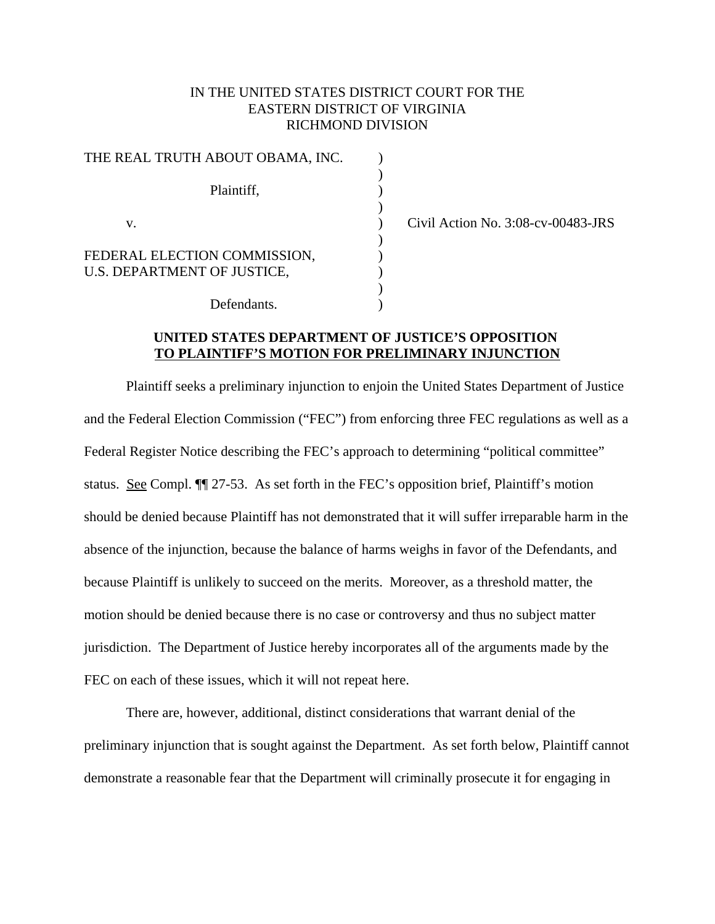# IN THE UNITED STATES DISTRICT COURT FOR THE EASTERN DISTRICT OF VIRGINIA RICHMOND DIVISION

)

 $\begin{smallmatrix} \frac{1}{2} \\ 1 \end{smallmatrix}$ 

)

)

| THE REAL TRUTH ABOUT OBAMA, INC.                            |  |
|-------------------------------------------------------------|--|
| Plaintiff,                                                  |  |
|                                                             |  |
| V.                                                          |  |
| FEDERAL ELECTION COMMISSION,<br>U.S. DEPARTMENT OF JUSTICE, |  |
|                                                             |  |
| Defendants                                                  |  |

Civil Action No.  $3:08$ -cv-00483-JRS

# **UNITED STATES DEPARTMENT OF JUSTICE'S OPPOSITION TO PLAINTIFF'S MOTION FOR PRELIMINARY INJUNCTION**

Plaintiff seeks a preliminary injunction to enjoin the United States Department of Justice and the Federal Election Commission ("FEC") from enforcing three FEC regulations as well as a Federal Register Notice describing the FEC's approach to determining "political committee" status. See Compl. ¶¶ 27-53. As set forth in the FEC's opposition brief, Plaintiff's motion should be denied because Plaintiff has not demonstrated that it will suffer irreparable harm in the absence of the injunction, because the balance of harms weighs in favor of the Defendants, and because Plaintiff is unlikely to succeed on the merits. Moreover, as a threshold matter, the motion should be denied because there is no case or controversy and thus no subject matter jurisdiction. The Department of Justice hereby incorporates all of the arguments made by the FEC on each of these issues, which it will not repeat here.

There are, however, additional, distinct considerations that warrant denial of the preliminary injunction that is sought against the Department. As set forth below, Plaintiff cannot demonstrate a reasonable fear that the Department will criminally prosecute it for engaging in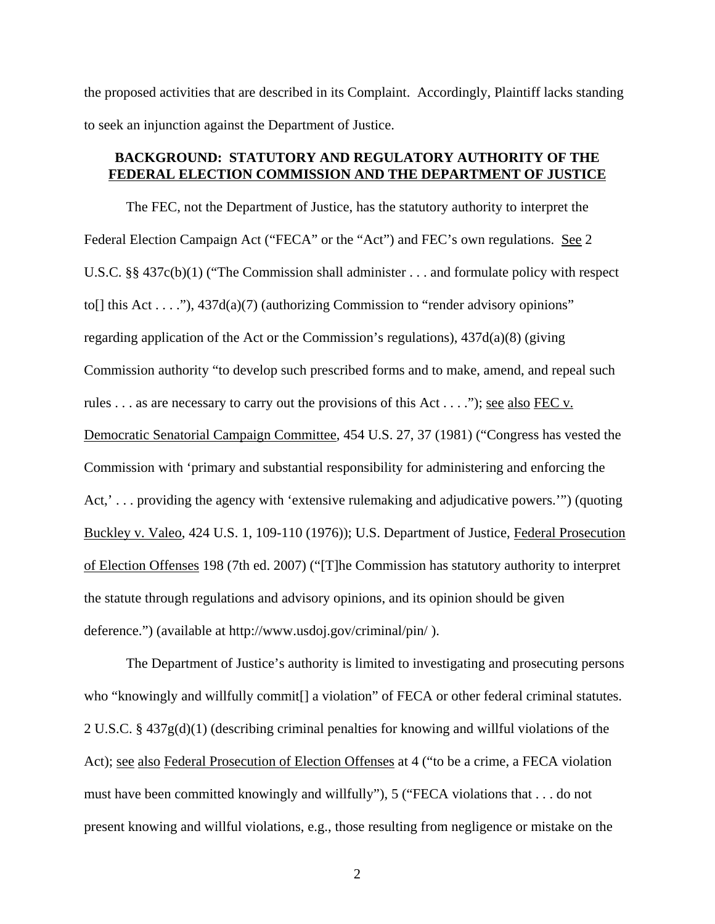the proposed activities that are described in its Complaint. Accordingly, Plaintiff lacks standing to seek an injunction against the Department of Justice.

# **BACKGROUND: STATUTORY AND REGULATORY AUTHORITY OF THE FEDERAL ELECTION COMMISSION AND THE DEPARTMENT OF JUSTICE**

The FEC, not the Department of Justice, has the statutory authority to interpret the Federal Election Campaign Act ("FECA" or the "Act") and FEC's own regulations. See 2 U.S.C. §§ 437c(b)(1) ("The Commission shall administer . . . and formulate policy with respect to[] this Act  $\dots$ "),  $437d(a)(7)$  (authorizing Commission to "render advisory opinions" regarding application of the Act or the Commission's regulations), 437d(a)(8) (giving Commission authority "to develop such prescribed forms and to make, amend, and repeal such rules . . . as are necessary to carry out the provisions of this Act . . . ."); see also FEC v. Democratic Senatorial Campaign Committee, 454 U.S. 27, 37 (1981) ("Congress has vested the Commission with 'primary and substantial responsibility for administering and enforcing the Act,'... providing the agency with 'extensive rulemaking and adjudicative powers.'") (quoting Buckley v. Valeo, 424 U.S. 1, 109-110 (1976)); U.S. Department of Justice, Federal Prosecution of Election Offenses 198 (7th ed. 2007) ("[T]he Commission has statutory authority to interpret the statute through regulations and advisory opinions, and its opinion should be given deference.") (available at http://www.usdoj.gov/criminal/pin/ ).

The Department of Justice's authority is limited to investigating and prosecuting persons who "knowingly and willfully commit<sup>[]</sup> a violation" of FECA or other federal criminal statutes. 2 U.S.C. § 437g(d)(1) (describing criminal penalties for knowing and willful violations of the Act); see also Federal Prosecution of Election Offenses at 4 ("to be a crime, a FECA violation must have been committed knowingly and willfully"), 5 ("FECA violations that . . . do not present knowing and willful violations, e.g., those resulting from negligence or mistake on the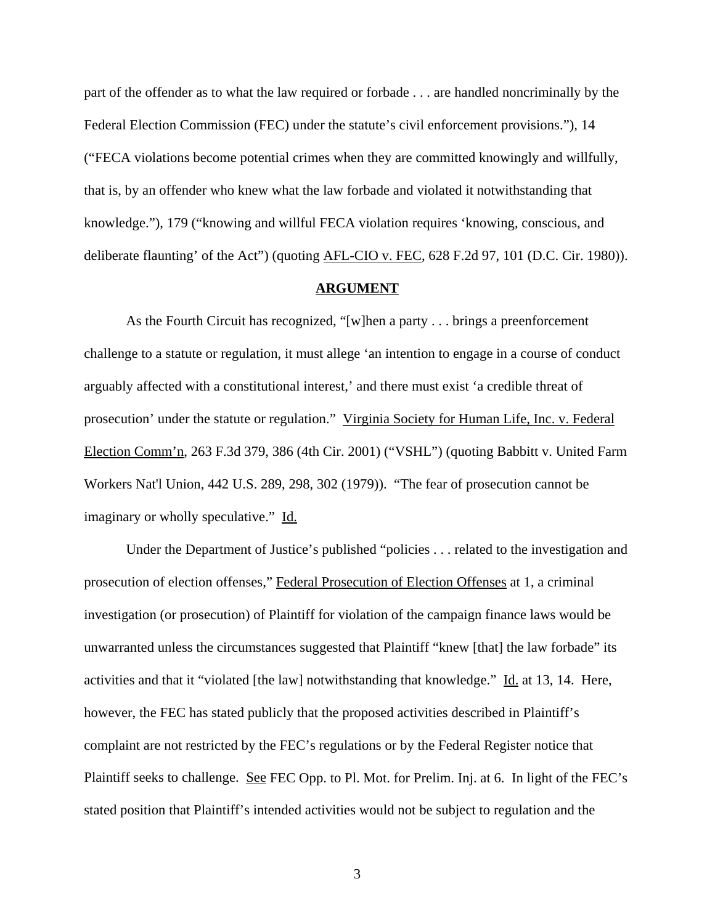part of the offender as to what the law required or forbade . . . are handled noncriminally by the Federal Election Commission (FEC) under the statute's civil enforcement provisions."), 14 ("FECA violations become potential crimes when they are committed knowingly and willfully, that is, by an offender who knew what the law forbade and violated it notwithstanding that knowledge."), 179 ("knowing and willful FECA violation requires 'knowing, conscious, and deliberate flaunting' of the Act") (quoting <u>AFL-CIO v. FEC</u>, 628 F.2d 97, 101 (D.C. Cir. 1980)).

# **ARGUMENT**

As the Fourth Circuit has recognized, "[w]hen a party . . . brings a preenforcement challenge to a statute or regulation, it must allege 'an intention to engage in a course of conduct arguably affected with a constitutional interest,' and there must exist 'a credible threat of prosecution' under the statute or regulation." Virginia Society for Human Life, Inc. v. Federal Election Comm'n, 263 F.3d 379, 386 (4th Cir. 2001) ("VSHL") (quoting Babbitt v. United Farm Workers Nat'l Union, 442 U.S. 289, 298, 302 (1979)). "The fear of prosecution cannot be imaginary or wholly speculative." Id.

Under the Department of Justice's published "policies . . . related to the investigation and prosecution of election offenses," Federal Prosecution of Election Offenses at 1, a criminal investigation (or prosecution) of Plaintiff for violation of the campaign finance laws would be unwarranted unless the circumstances suggested that Plaintiff "knew [that] the law forbade" its activities and that it "violated [the law] notwithstanding that knowledge." Id. at 13, 14. Here, however, the FEC has stated publicly that the proposed activities described in Plaintiff's complaint are not restricted by the FEC's regulations or by the Federal Register notice that Plaintiff seeks to challenge. See FEC Opp. to Pl. Mot. for Prelim. Inj. at 6. In light of the FEC's stated position that Plaintiff's intended activities would not be subject to regulation and the

3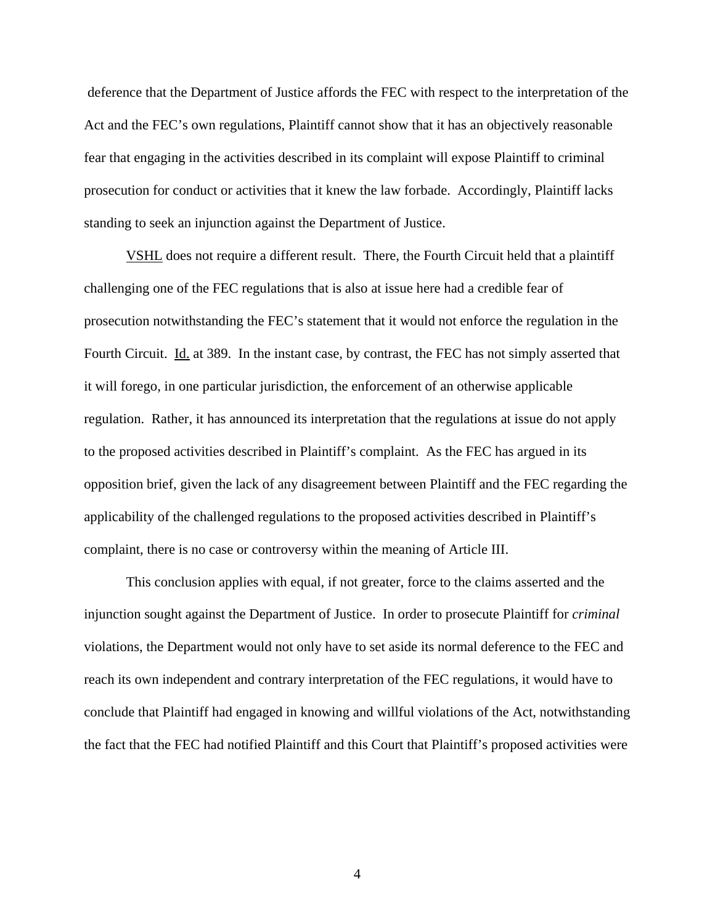deference that the Department of Justice affords the FEC with respect to the interpretation of the Act and the FEC's own regulations, Plaintiff cannot show that it has an objectively reasonable fear that engaging in the activities described in its complaint will expose Plaintiff to criminal prosecution for conduct or activities that it knew the law forbade. Accordingly, Plaintiff lacks standing to seek an injunction against the Department of Justice.

VSHL does not require a different result. There, the Fourth Circuit held that a plaintiff challenging one of the FEC regulations that is also at issue here had a credible fear of prosecution notwithstanding the FEC's statement that it would not enforce the regulation in the Fourth Circuit. Id. at 389. In the instant case, by contrast, the FEC has not simply asserted that it will forego, in one particular jurisdiction, the enforcement of an otherwise applicable regulation. Rather, it has announced its interpretation that the regulations at issue do not apply to the proposed activities described in Plaintiff's complaint. As the FEC has argued in its opposition brief, given the lack of any disagreement between Plaintiff and the FEC regarding the applicability of the challenged regulations to the proposed activities described in Plaintiff's complaint, there is no case or controversy within the meaning of Article III.

This conclusion applies with equal, if not greater, force to the claims asserted and the injunction sought against the Department of Justice. In order to prosecute Plaintiff for *criminal* violations, the Department would not only have to set aside its normal deference to the FEC and reach its own independent and contrary interpretation of the FEC regulations, it would have to conclude that Plaintiff had engaged in knowing and willful violations of the Act, notwithstanding the fact that the FEC had notified Plaintiff and this Court that Plaintiff's proposed activities were

4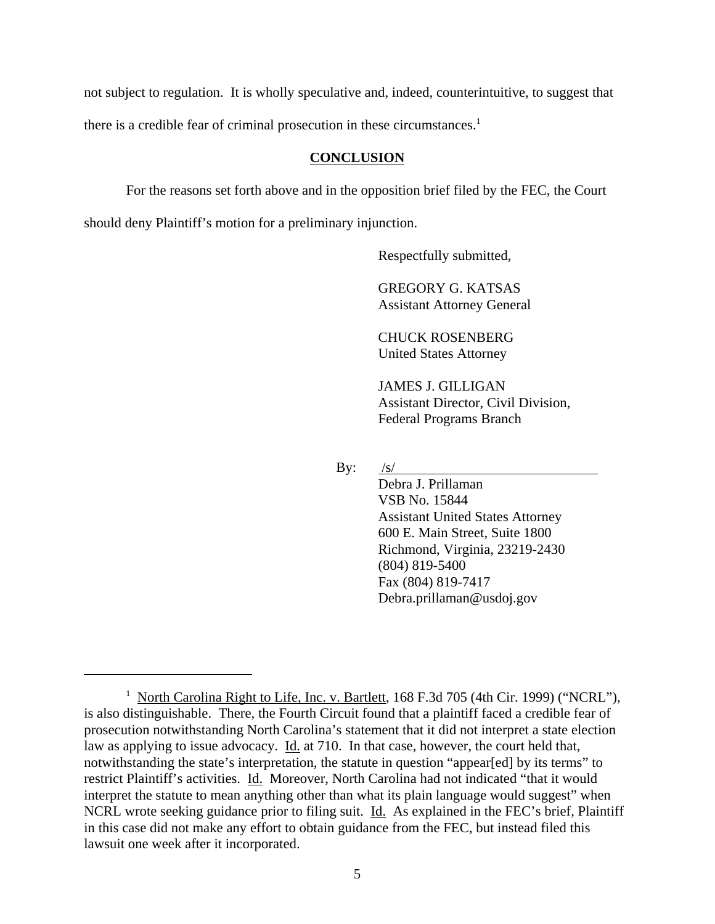not subject to regulation. It is wholly speculative and, indeed, counterintuitive, to suggest that there is a credible fear of criminal prosecution in these circumstances.<sup>1</sup>

#### **CONCLUSION**

For the reasons set forth above and in the opposition brief filed by the FEC, the Court should deny Plaintiff's motion for a preliminary injunction.

Respectfully submitted,

GREGORY G. KATSAS Assistant Attorney General

CHUCK ROSENBERG United States Attorney

JAMES J. GILLIGAN Assistant Director, Civil Division, Federal Programs Branch

By:  $/s/$ 

Debra J. Prillaman VSB No. 15844 Assistant United States Attorney 600 E. Main Street, Suite 1800 Richmond, Virginia, 23219-2430 (804) 819-5400 Fax (804) 819-7417 Debra.prillaman@usdoj.gov

<sup>&</sup>lt;sup>1</sup> North Carolina Right to Life, Inc. v. Bartlett, 168 F.3d 705 (4th Cir. 1999) ("NCRL"), is also distinguishable. There, the Fourth Circuit found that a plaintiff faced a credible fear of prosecution notwithstanding North Carolina's statement that it did not interpret a state election law as applying to issue advocacy. Id. at 710. In that case, however, the court held that, notwithstanding the state's interpretation, the statute in question "appear[ed] by its terms" to restrict Plaintiff's activities. Id. Moreover, North Carolina had not indicated "that it would interpret the statute to mean anything other than what its plain language would suggest" when NCRL wrote seeking guidance prior to filing suit. Id. As explained in the FEC's brief, Plaintiff in this case did not make any effort to obtain guidance from the FEC, but instead filed this lawsuit one week after it incorporated.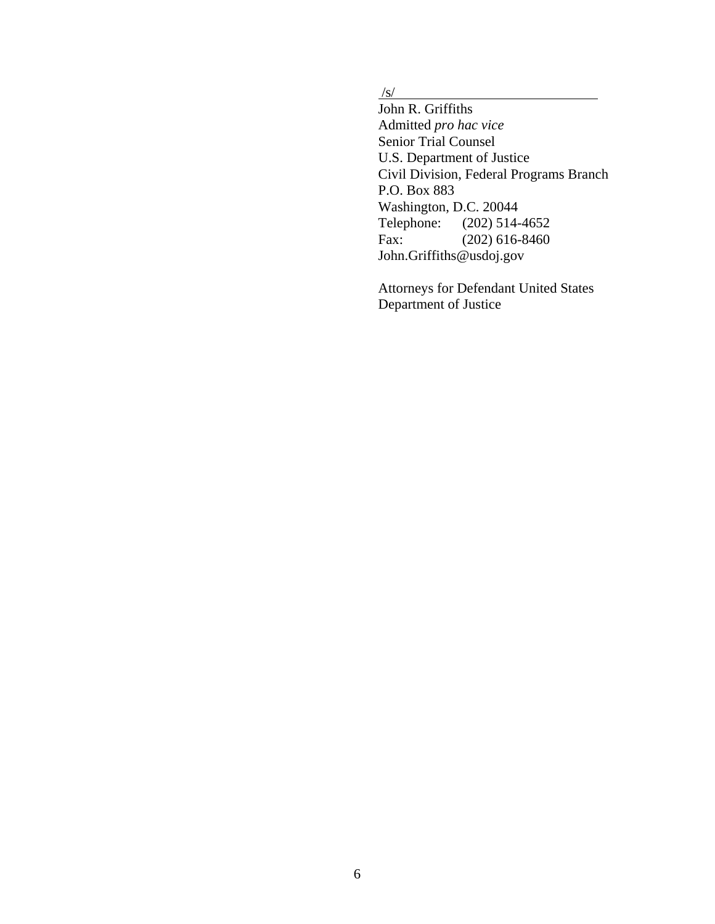$\frac{1}{s}$ 

John R. Griffiths Admitted *pro hac vice* Senior Trial Counsel U.S. Department of Justice Civil Division, Federal Programs Branch P.O. Box 883 Washington, D.C. 20044 Telephone: (202) 514-4652 Fax: (202) 616-8460 John.Griffiths@usdoj.gov

Attorneys for Defendant United States Department of Justice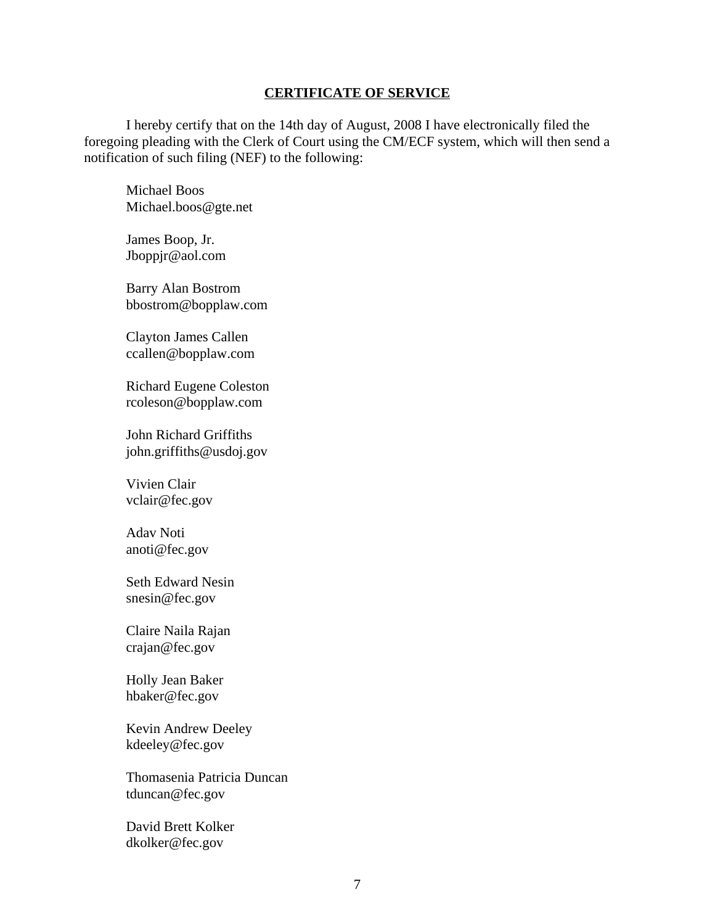#### **CERTIFICATE OF SERVICE**

I hereby certify that on the 14th day of August, 2008 I have electronically filed the foregoing pleading with the Clerk of Court using the CM/ECF system, which will then send a notification of such filing (NEF) to the following:

Michael Boos Michael.boos@gte.net

James Boop, Jr. Jboppjr@aol.com

Barry Alan Bostrom bbostrom@bopplaw.com

Clayton James Callen ccallen@bopplaw.com

Richard Eugene Coleston rcoleson@bopplaw.com

John Richard Griffiths john.griffiths@usdoj.gov

Vivien Clair vclair@fec.gov

Adav Noti anoti@fec.gov

Seth Edward Nesin snesin@fec.gov

Claire Naila Rajan crajan@fec.gov

Holly Jean Baker hbaker@fec.gov

Kevin Andrew Deeley kdeeley@fec.gov

Thomasenia Patricia Duncan tduncan@fec.gov

David Brett Kolker dkolker@fec.gov